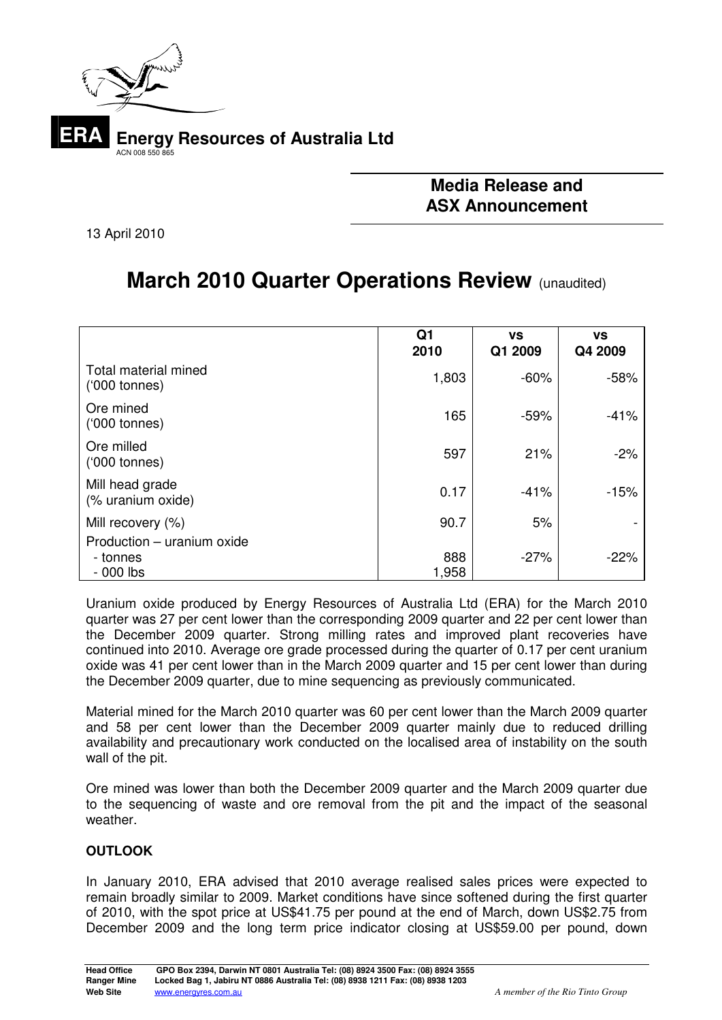

# **Media Release and ASX Announcement**

13 April 2010

# **March 2010 Quarter Operations Review (unaudited)**

|                                                      | Q1<br>2010   | <b>VS</b><br>Q1 2009 | <b>VS</b><br>Q4 2009 |
|------------------------------------------------------|--------------|----------------------|----------------------|
| Total material mined<br>$(000 \t{tonnes})$           | 1,803        | $-60%$               | $-58%$               |
| Ore mined<br>$(000 \t{tonnes})$                      | 165          | $-59%$               | $-41%$               |
| Ore milled<br>$(000 \t{tonnes})$                     | 597          | 21%                  | $-2%$                |
| Mill head grade<br>(% uranium oxide)                 | 0.17         | $-41%$               | $-15%$               |
| Mill recovery (%)                                    | 90.7         | 5%                   |                      |
| Production - uranium oxide<br>- tonnes<br>$-000$ lbs | 888<br>1,958 | $-27%$               | $-22%$               |

Uranium oxide produced by Energy Resources of Australia Ltd (ERA) for the March 2010 quarter was 27 per cent lower than the corresponding 2009 quarter and 22 per cent lower than the December 2009 quarter. Strong milling rates and improved plant recoveries have continued into 2010. Average ore grade processed during the quarter of 0.17 per cent uranium oxide was 41 per cent lower than in the March 2009 quarter and 15 per cent lower than during the December 2009 quarter, due to mine sequencing as previously communicated.

Material mined for the March 2010 quarter was 60 per cent lower than the March 2009 quarter and 58 per cent lower than the December 2009 quarter mainly due to reduced drilling availability and precautionary work conducted on the localised area of instability on the south wall of the pit.

Ore mined was lower than both the December 2009 quarter and the March 2009 quarter due to the sequencing of waste and ore removal from the pit and the impact of the seasonal weather.

## **OUTLOOK**

In January 2010, ERA advised that 2010 average realised sales prices were expected to remain broadly similar to 2009. Market conditions have since softened during the first quarter of 2010, with the spot price at US\$41.75 per pound at the end of March, down US\$2.75 from December 2009 and the long term price indicator closing at US\$59.00 per pound, down